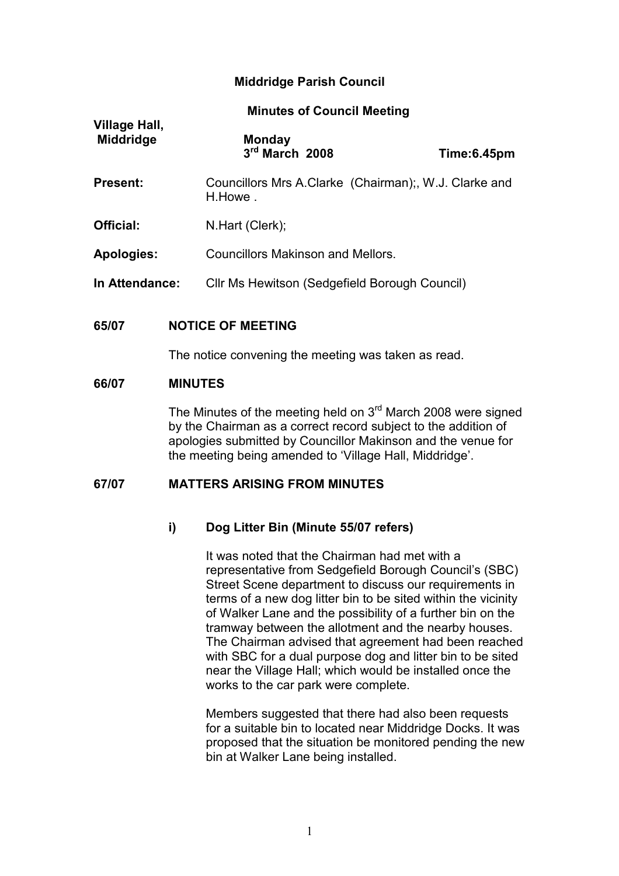# Middridge Parish Council

| Village Hall,<br><b>Middridge</b> | <b>Monday</b><br>3rd March 2008                                 | Time:6.45pm |
|-----------------------------------|-----------------------------------------------------------------|-------------|
| <b>Present:</b>                   | Councillors Mrs A.Clarke (Chairman); W.J. Clarke and<br>H.Howe. |             |
| Official:                         | N.Hart (Clerk);                                                 |             |
| <b>Apologies:</b>                 | <b>Councillors Makinson and Mellors.</b>                        |             |
| In Attendance:                    | Cllr Ms Hewitson (Sedgefield Borough Council)                   |             |

### 65/07 NOTICE OF MEETING

The notice convening the meeting was taken as read.

#### 66/07 MINUTES

Village Hall,

The Minutes of the meeting held on  $3<sup>rd</sup>$  March 2008 were signed by the Chairman as a correct record subject to the addition of apologies submitted by Councillor Makinson and the venue for the meeting being amended to 'Village Hall, Middridge'.

# 67/07 MATTERS ARISING FROM MINUTES

#### i) Dog Litter Bin (Minute 55/07 refers)

 It was noted that the Chairman had met with a representative from Sedgefield Borough Council's (SBC) Street Scene department to discuss our requirements in terms of a new dog litter bin to be sited within the vicinity of Walker Lane and the possibility of a further bin on the tramway between the allotment and the nearby houses. The Chairman advised that agreement had been reached with SBC for a dual purpose dog and litter bin to be sited near the Village Hall; which would be installed once the works to the car park were complete.

 Members suggested that there had also been requests for a suitable bin to located near Middridge Docks. It was proposed that the situation be monitored pending the new bin at Walker Lane being installed.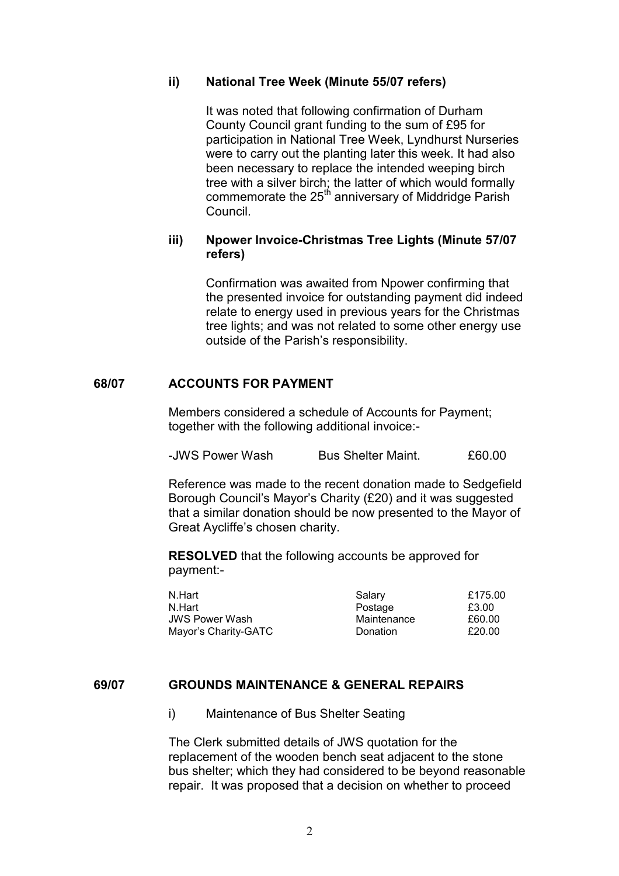## ii) National Tree Week (Minute 55/07 refers)

It was noted that following confirmation of Durham County Council grant funding to the sum of £95 for participation in National Tree Week, Lyndhurst Nurseries were to carry out the planting later this week. It had also been necessary to replace the intended weeping birch tree with a silver birch; the latter of which would formally commemorate the 25<sup>th</sup> anniversary of Middridge Parish Council.

# iii) Npower Invoice-Christmas Tree Lights (Minute 57/07 refers)

Confirmation was awaited from Npower confirming that the presented invoice for outstanding payment did indeed relate to energy used in previous years for the Christmas tree lights; and was not related to some other energy use outside of the Parish's responsibility.

### 68/07 ACCOUNTS FOR PAYMENT

Members considered a schedule of Accounts for Payment; together with the following additional invoice:-

| -JWS Power Wash | <b>Bus Shelter Maint.</b> | £60.00 |
|-----------------|---------------------------|--------|
|-----------------|---------------------------|--------|

 Reference was made to the recent donation made to Sedgefield Borough Council's Mayor's Charity (£20) and it was suggested that a similar donation should be now presented to the Mayor of Great Aycliffe's chosen charity.

RESOLVED that the following accounts be approved for payment:-

| N.Hart                | Salary      | £175.00 |
|-----------------------|-------------|---------|
| N.Hart                | Postage     | £3.00   |
| <b>JWS Power Wash</b> | Maintenance | £60.00  |
| Mayor's Charity-GATC  | Donation    | £20.00  |

# 69/07 GROUNDS MAINTENANCE & GENERAL REPAIRS

i) Maintenance of Bus Shelter Seating

The Clerk submitted details of JWS quotation for the replacement of the wooden bench seat adjacent to the stone bus shelter; which they had considered to be beyond reasonable repair. It was proposed that a decision on whether to proceed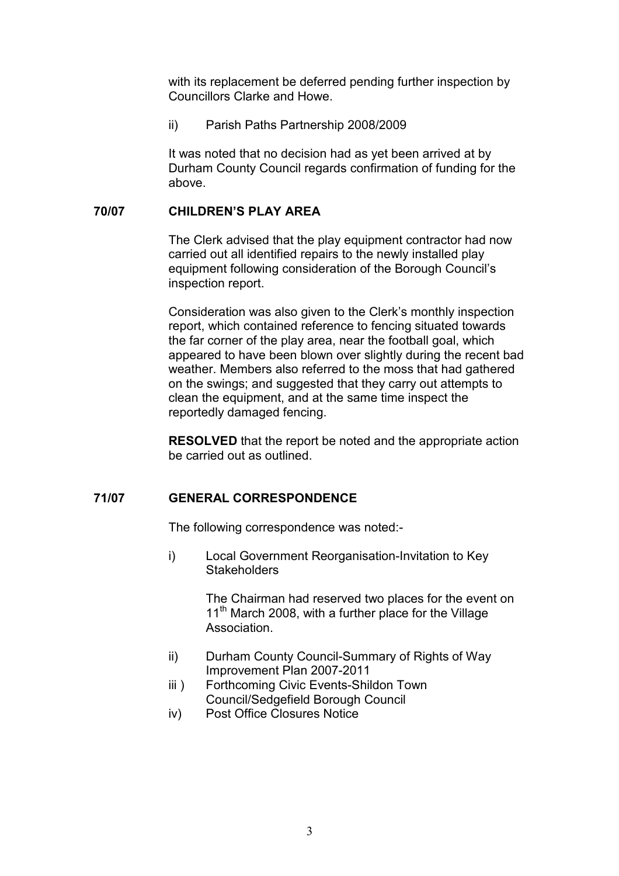with its replacement be deferred pending further inspection by Councillors Clarke and Howe.

ii) Parish Paths Partnership 2008/2009

It was noted that no decision had as yet been arrived at by Durham County Council regards confirmation of funding for the above.

# 70/07 CHILDREN'S PLAY AREA

The Clerk advised that the play equipment contractor had now carried out all identified repairs to the newly installed play equipment following consideration of the Borough Council's inspection report.

 Consideration was also given to the Clerk's monthly inspection report, which contained reference to fencing situated towards the far corner of the play area, near the football goal, which appeared to have been blown over slightly during the recent bad weather. Members also referred to the moss that had gathered on the swings; and suggested that they carry out attempts to clean the equipment, and at the same time inspect the reportedly damaged fencing.

RESOLVED that the report be noted and the appropriate action be carried out as outlined.

# 71/07 GENERAL CORRESPONDENCE

The following correspondence was noted:-

i) Local Government Reorganisation-Invitation to Key **Stakeholders** 

> The Chairman had reserved two places for the event on 11<sup>th</sup> March 2008, with a further place for the Village Association.

- ii) Durham County Council-Summary of Rights of Way Improvement Plan 2007-2011
- iii ) Forthcoming Civic Events-Shildon Town Council/Sedgefield Borough Council
- iv) Post Office Closures Notice